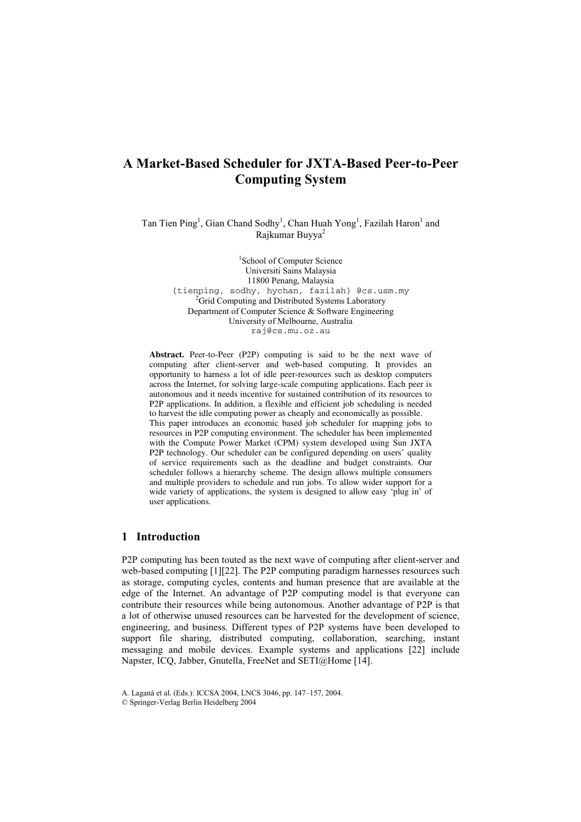# **A Market-Based Scheduler for JXTA-Based Peer-to-Peer Computing System**

Tan Tien Ping<sup>1</sup>, Gian Chand Sodhy<sup>1</sup>, Chan Huah Yong<sup>1</sup>, Fazilah Haron<sup>1</sup> and Rajkumar Buyya<sup>2</sup>

<sup>1</sup>School of Computer Science Universiti Sains Malaysia 11800 Penang, Malaysia {tienping, sodhy, hychan, fazilah} @cs.usm.my <sup>2</sup>Grid Computing and Distributed Systems Laboratory Department of Computer Science & Software Engineering University of Melbourne, Australia raj@cs.mu.oz.au

**Abstract.** Peer-to-Peer (P2P) computing is said to be the next wave of computing after client-server and web-based computing. It provides an opportunity to harness a lot of idle peer-resources such as desktop computers across the Internet, for solving large-scale computing applications. Each peer is autonomous and it needs incentive for sustained contribution of its resources to P2P applications. In addition, a flexible and efficient job scheduling is needed to harvest the idle computing power as cheaply and economically as possible. This paper introduces an economic based job scheduler for mapping jobs to resources in P2P computing environment. The scheduler has been implemented with the Compute Power Market (CPM) system developed using Sun JXTA P2P technology. Our scheduler can be configured depending on users' quality of service requirements such as the deadline and budget constraints. Our scheduler follows a hierarchy scheme. The design allows multiple consumers and multiple providers to schedule and run jobs. To allow wider support for a wide variety of applications, the system is designed to allow easy 'plug in' of user applications.

## **1 Introduction**

P2P computing has been touted as the next wave of computing after client-server and web-based computing [1][22]. The P2P computing paradigm harnesses resources such as storage, computing cycles, contents and human presence that are available at the edge of the Internet. An advantage of P2P computing model is that everyone can contribute their resources while being autonomous. Another advantage of P2P is that a lot of otherwise unused resources can be harvested for the development of science, engineering, and business. Different types of P2P systems have been developed to support file sharing, distributed computing, collaboration, searching, instant messaging and mobile devices. Example systems and applications [22] include Napster, ICQ, Jabber, Gnutella, FreeNet and SETI@Home [14].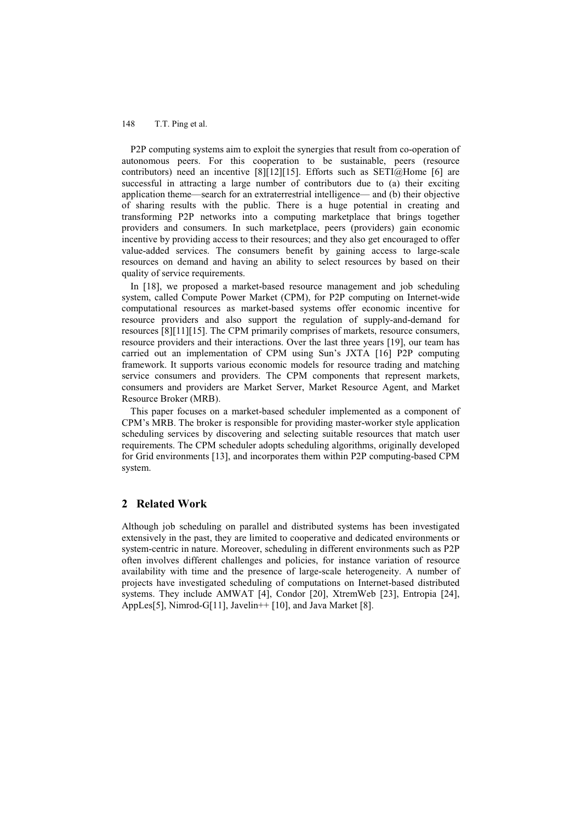P2P computing systems aim to exploit the synergies that result from co-operation of autonomous peers. For this cooperation to be sustainable, peers (resource contributors) need an incentive [8][12][15]. Efforts such as SETI@Home [6] are successful in attracting a large number of contributors due to (a) their exciting application theme—search for an extraterrestrial intelligence— and (b) their objective of sharing results with the public. There is a huge potential in creating and transforming P2P networks into a computing marketplace that brings together providers and consumers. In such marketplace, peers (providers) gain economic incentive by providing access to their resources; and they also get encouraged to offer value-added services. The consumers benefit by gaining access to large-scale resources on demand and having an ability to select resources by based on their quality of service requirements.

In [18], we proposed a market-based resource management and job scheduling system, called Compute Power Market (CPM), for P2P computing on Internet-wide computational resources as market-based systems offer economic incentive for resource providers and also support the regulation of supply-and-demand for resources [8][11][15]. The CPM primarily comprises of markets, resource consumers, resource providers and their interactions. Over the last three years [19], our team has carried out an implementation of CPM using Sun's JXTA [16] P2P computing framework. It supports various economic models for resource trading and matching service consumers and providers. The CPM components that represent markets, consumers and providers are Market Server, Market Resource Agent, and Market Resource Broker (MRB).

This paper focuses on a market-based scheduler implemented as a component of CPM's MRB. The broker is responsible for providing master-worker style application scheduling services by discovering and selecting suitable resources that match user requirements. The CPM scheduler adopts scheduling algorithms, originally developed for Grid environments [13], and incorporates them within P2P computing-based CPM system.

## **2 Related Work**

Although job scheduling on parallel and distributed systems has been investigated extensively in the past, they are limited to cooperative and dedicated environments or system-centric in nature. Moreover, scheduling in different environments such as P2P often involves different challenges and policies, for instance variation of resource availability with time and the presence of large-scale heterogeneity. A number of projects have investigated scheduling of computations on Internet-based distributed systems. They include AMWAT [4], Condor [20], XtremWeb [23], Entropia [24], AppLes[5], Nimrod-G[11], Javelin++ [10], and Java Market [8].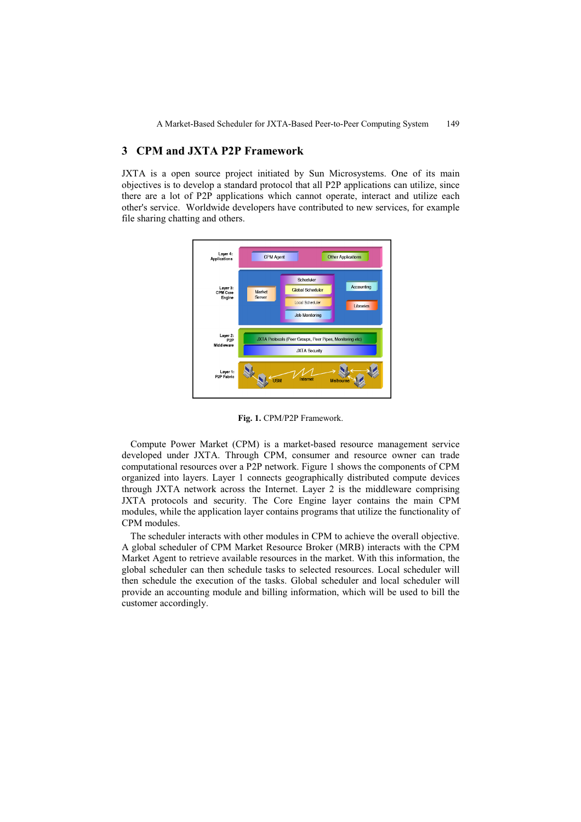#### **3 CPM and JXTA P2P Framework**

JXTA is a open source project initiated by Sun Microsystems. One of its main objectives is to develop a standard protocol that all P2P applications can utilize, since there are a lot of P2P applications which cannot operate, interact and utilize each other's service. Worldwide developers have contributed to new services, for example file sharing chatting and others.



**Fig. 1.** CPM/P2P Framework.

Compute Power Market (CPM) is a market-based resource management service developed under JXTA. Through CPM, consumer and resource owner can trade computational resources over a P2P network. Figure 1 shows the components of CPM organized into layers. Layer 1 connects geographically distributed compute devices through JXTA network across the Internet. Layer 2 is the middleware comprising JXTA protocols and security. The Core Engine layer contains the main CPM modules, while the application layer contains programs that utilize the functionality of CPM modules.

The scheduler interacts with other modules in CPM to achieve the overall objective. A global scheduler of CPM Market Resource Broker (MRB) interacts with the CPM Market Agent to retrieve available resources in the market. With this information, the global scheduler can then schedule tasks to selected resources. Local scheduler will then schedule the execution of the tasks. Global scheduler and local scheduler will provide an accounting module and billing information, which will be used to bill the customer accordingly.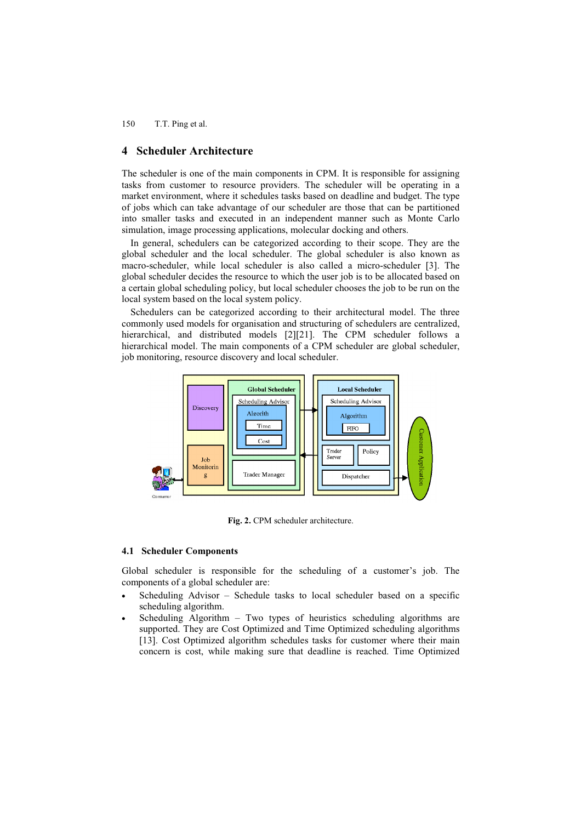## **4 Scheduler Architecture**

The scheduler is one of the main components in CPM. It is responsible for assigning tasks from customer to resource providers. The scheduler will be operating in a market environment, where it schedules tasks based on deadline and budget. The type of jobs which can take advantage of our scheduler are those that can be partitioned into smaller tasks and executed in an independent manner such as Monte Carlo simulation, image processing applications, molecular docking and others.

In general, schedulers can be categorized according to their scope. They are the global scheduler and the local scheduler. The global scheduler is also known as macro-scheduler, while local scheduler is also called a micro-scheduler [3]. The global scheduler decides the resource to which the user job is to be allocated based on a certain global scheduling policy, but local scheduler chooses the job to be run on the local system based on the local system policy.

Schedulers can be categorized according to their architectural model. The three commonly used models for organisation and structuring of schedulers are centralized, hierarchical, and distributed models [2][21]. The CPM scheduler follows a hierarchical model. The main components of a CPM scheduler are global scheduler, job monitoring, resource discovery and local scheduler.



**Fig. 2.** CPM scheduler architecture.

#### **4.1 Scheduler Components**

Global scheduler is responsible for the scheduling of a customer's job. The components of a global scheduler are:

- Scheduling Advisor Schedule tasks to local scheduler based on a specific scheduling algorithm.
- Scheduling Algorithm Two types of heuristics scheduling algorithms are supported. They are Cost Optimized and Time Optimized scheduling algorithms [13]. Cost Optimized algorithm schedules tasks for customer where their main concern is cost, while making sure that deadline is reached. Time Optimized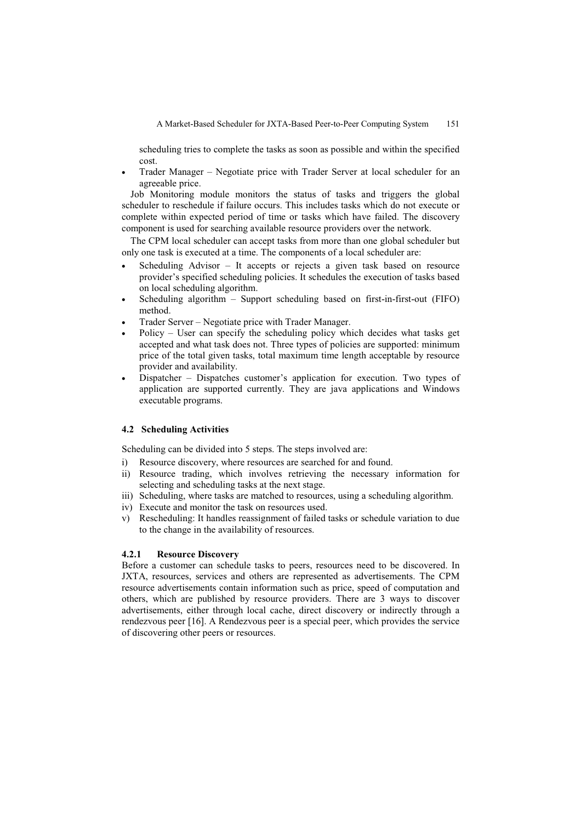scheduling tries to complete the tasks as soon as possible and within the specified cost.

• Trader Manager – Negotiate price with Trader Server at local scheduler for an agreeable price.

Job Monitoring module monitors the status of tasks and triggers the global scheduler to reschedule if failure occurs. This includes tasks which do not execute or complete within expected period of time or tasks which have failed. The discovery component is used for searching available resource providers over the network.

The CPM local scheduler can accept tasks from more than one global scheduler but only one task is executed at a time. The components of a local scheduler are:

- Scheduling Advisor It accepts or rejects a given task based on resource provider's specified scheduling policies. It schedules the execution of tasks based on local scheduling algorithm.
- Scheduling algorithm Support scheduling based on first-in-first-out (FIFO) method.
- Trader Server Negotiate price with Trader Manager.
- Policy User can specify the scheduling policy which decides what tasks get accepted and what task does not. Three types of policies are supported: minimum price of the total given tasks, total maximum time length acceptable by resource provider and availability.
- Dispatcher Dispatches customer's application for execution. Two types of application are supported currently. They are java applications and Windows executable programs.

#### **4.2 Scheduling Activities**

Scheduling can be divided into 5 steps. The steps involved are:

- i) Resource discovery, where resources are searched for and found.
- ii) Resource trading, which involves retrieving the necessary information for selecting and scheduling tasks at the next stage.
- iii) Scheduling, where tasks are matched to resources, using a scheduling algorithm.
- iv) Execute and monitor the task on resources used.
- v) Rescheduling: It handles reassignment of failed tasks or schedule variation to due to the change in the availability of resources.

#### **4.2.1 Resource Discovery**

Before a customer can schedule tasks to peers, resources need to be discovered. In JXTA, resources, services and others are represented as advertisements. The CPM resource advertisements contain information such as price, speed of computation and others, which are published by resource providers. There are 3 ways to discover advertisements, either through local cache, direct discovery or indirectly through a rendezvous peer [16]. A Rendezvous peer is a special peer, which provides the service of discovering other peers or resources.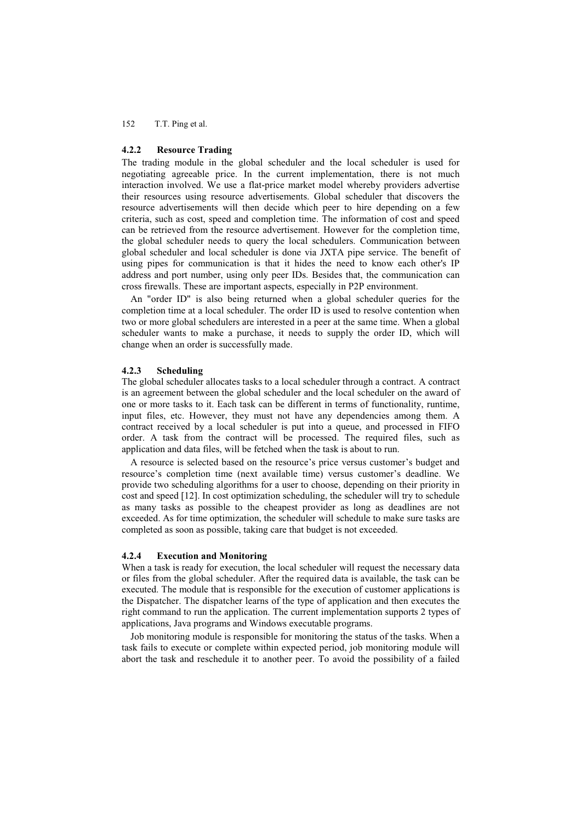#### **4.2.2 Resource Trading**

The trading module in the global scheduler and the local scheduler is used for negotiating agreeable price. In the current implementation, there is not much interaction involved. We use a flat-price market model whereby providers advertise their resources using resource advertisements. Global scheduler that discovers the resource advertisements will then decide which peer to hire depending on a few criteria, such as cost, speed and completion time. The information of cost and speed can be retrieved from the resource advertisement. However for the completion time, the global scheduler needs to query the local schedulers. Communication between global scheduler and local scheduler is done via JXTA pipe service. The benefit of using pipes for communication is that it hides the need to know each other's IP address and port number, using only peer IDs. Besides that, the communication can cross firewalls. These are important aspects, especially in P2P environment.

An "order ID" is also being returned when a global scheduler queries for the completion time at a local scheduler. The order ID is used to resolve contention when two or more global schedulers are interested in a peer at the same time. When a global scheduler wants to make a purchase, it needs to supply the order ID, which will change when an order is successfully made.

#### **4.2.3 Scheduling**

The global scheduler allocates tasks to a local scheduler through a contract. A contract is an agreement between the global scheduler and the local scheduler on the award of one or more tasks to it. Each task can be different in terms of functionality, runtime, input files, etc. However, they must not have any dependencies among them. A contract received by a local scheduler is put into a queue, and processed in FIFO order. A task from the contract will be processed. The required files, such as application and data files, will be fetched when the task is about to run.

A resource is selected based on the resource's price versus customer's budget and resource's completion time (next available time) versus customer's deadline. We provide two scheduling algorithms for a user to choose, depending on their priority in cost and speed [12]. In cost optimization scheduling, the scheduler will try to schedule as many tasks as possible to the cheapest provider as long as deadlines are not exceeded. As for time optimization, the scheduler will schedule to make sure tasks are completed as soon as possible, taking care that budget is not exceeded.

#### **4.2.4 Execution and Monitoring**

When a task is ready for execution, the local scheduler will request the necessary data or files from the global scheduler. After the required data is available, the task can be executed. The module that is responsible for the execution of customer applications is the Dispatcher. The dispatcher learns of the type of application and then executes the right command to run the application. The current implementation supports 2 types of applications, Java programs and Windows executable programs.

Job monitoring module is responsible for monitoring the status of the tasks. When a task fails to execute or complete within expected period, job monitoring module will abort the task and reschedule it to another peer. To avoid the possibility of a failed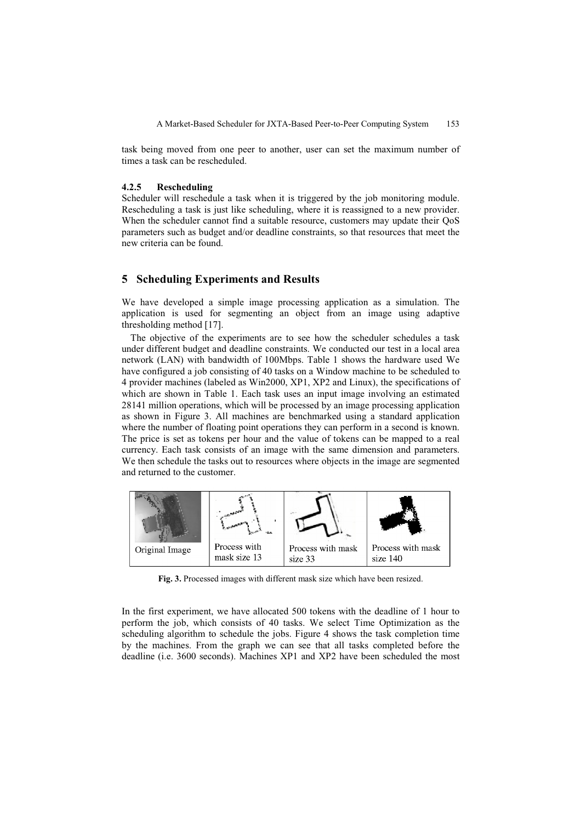task being moved from one peer to another, user can set the maximum number of times a task can be rescheduled.

#### **4.2.5 Rescheduling**

Scheduler will reschedule a task when it is triggered by the job monitoring module. Rescheduling a task is just like scheduling, where it is reassigned to a new provider. When the scheduler cannot find a suitable resource, customers may update their QoS parameters such as budget and/or deadline constraints, so that resources that meet the new criteria can be found.

### **5 Scheduling Experiments and Results**

We have developed a simple image processing application as a simulation. The application is used for segmenting an object from an image using adaptive thresholding method [17].

The objective of the experiments are to see how the scheduler schedules a task under different budget and deadline constraints. We conducted our test in a local area network (LAN) with bandwidth of 100Mbps. Table 1 shows the hardware used We have configured a job consisting of 40 tasks on a Window machine to be scheduled to 4 provider machines (labeled as Win2000, XP1, XP2 and Linux), the specifications of which are shown in Table 1. Each task uses an input image involving an estimated 28141 million operations, which will be processed by an image processing application as shown in Figure 3. All machines are benchmarked using a standard application where the number of floating point operations they can perform in a second is known. The price is set as tokens per hour and the value of tokens can be mapped to a real currency. Each task consists of an image with the same dimension and parameters. We then schedule the tasks out to resources where objects in the image are segmented and returned to the customer.



**Fig. 3.** Processed images with different mask size which have been resized.

In the first experiment, we have allocated 500 tokens with the deadline of 1 hour to perform the job, which consists of 40 tasks. We select Time Optimization as the scheduling algorithm to schedule the jobs. Figure 4 shows the task completion time by the machines. From the graph we can see that all tasks completed before the deadline (i.e. 3600 seconds). Machines XP1 and XP2 have been scheduled the most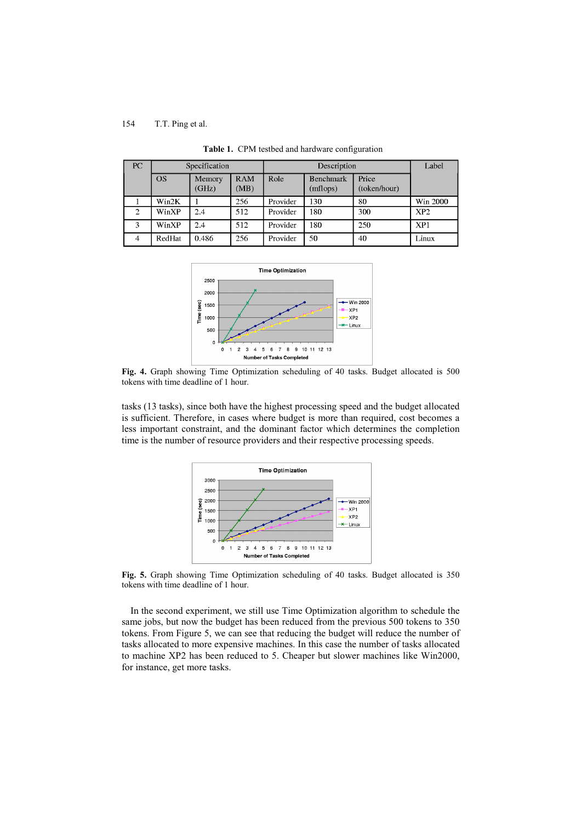| PC             | Specification |                 |                    | Description |                       |                       | Label           |
|----------------|---------------|-----------------|--------------------|-------------|-----------------------|-----------------------|-----------------|
|                | <b>OS</b>     | Memory<br>(GHz) | <b>RAM</b><br>(MB) | Role        | Benchmark<br>(mflops) | Price<br>(token/hour) |                 |
|                | Win2K         |                 | 256                | Provider    | 130                   | 80                    | Win 2000        |
| $\overline{2}$ | WinXP         | 2.4             | 512                | Provider    | 180                   | 300                   | XP <sub>2</sub> |
| 3              | WinXP         | 2.4             | 512                | Provider    | 180                   | 250                   | XP <sub>1</sub> |
| 4              | RedHat        | 0.486           | 256                | Provider    | 50                    | 40                    | Linux           |

**Table 1.** CPM testbed and hardware configuration



**Fig. 4.** Graph showing Time Optimization scheduling of 40 tasks. Budget allocated is 500 tokens with time deadline of 1 hour.

tasks (13 tasks), since both have the highest processing speed and the budget allocated is sufficient. Therefore, in cases where budget is more than required, cost becomes a less important constraint, and the dominant factor which determines the completion time is the number of resource providers and their respective processing speeds.



**Fig. 5.** Graph showing Time Optimization scheduling of 40 tasks. Budget allocated is 350 tokens with time deadline of 1 hour.

In the second experiment, we still use Time Optimization algorithm to schedule the same jobs, but now the budget has been reduced from the previous 500 tokens to 350 tokens. From Figure 5, we can see that reducing the budget will reduce the number of tasks allocated to more expensive machines. In this case the number of tasks allocated to machine XP2 has been reduced to 5. Cheaper but slower machines like Win2000, for instance, get more tasks.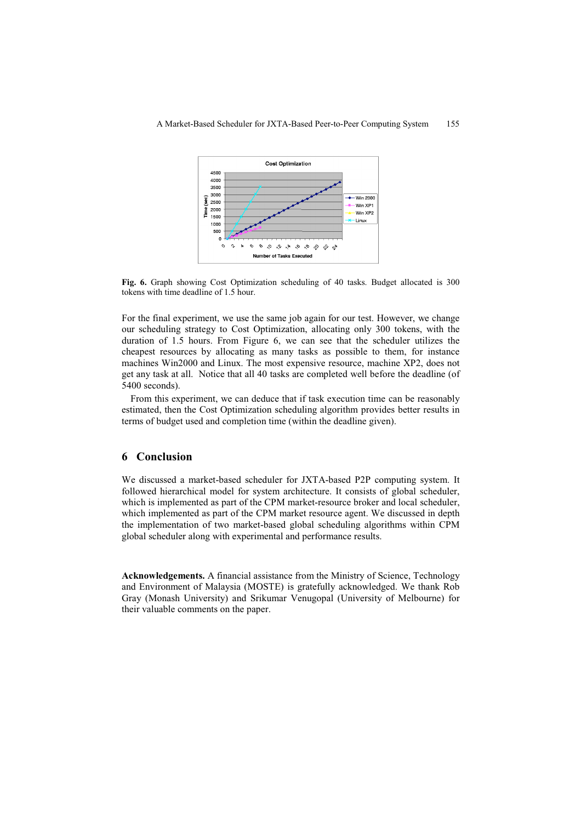

**Fig. 6.** Graph showing Cost Optimization scheduling of 40 tasks. Budget allocated is 300 tokens with time deadline of 1.5 hour.

For the final experiment, we use the same job again for our test. However, we change our scheduling strategy to Cost Optimization, allocating only 300 tokens, with the duration of 1.5 hours. From Figure 6, we can see that the scheduler utilizes the cheapest resources by allocating as many tasks as possible to them, for instance machines Win2000 and Linux. The most expensive resource, machine XP2, does not get any task at all. Notice that all 40 tasks are completed well before the deadline (of 5400 seconds).

From this experiment, we can deduce that if task execution time can be reasonably estimated, then the Cost Optimization scheduling algorithm provides better results in terms of budget used and completion time (within the deadline given).

### **6 Conclusion**

We discussed a market-based scheduler for JXTA-based P2P computing system. It followed hierarchical model for system architecture. It consists of global scheduler, which is implemented as part of the CPM market-resource broker and local scheduler, which implemented as part of the CPM market resource agent. We discussed in depth the implementation of two market-based global scheduling algorithms within CPM global scheduler along with experimental and performance results.

**Acknowledgements.** A financial assistance from the Ministry of Science, Technology and Environment of Malaysia (MOSTE) is gratefully acknowledged. We thank Rob Gray (Monash University) and Srikumar Venugopal (University of Melbourne) for their valuable comments on the paper.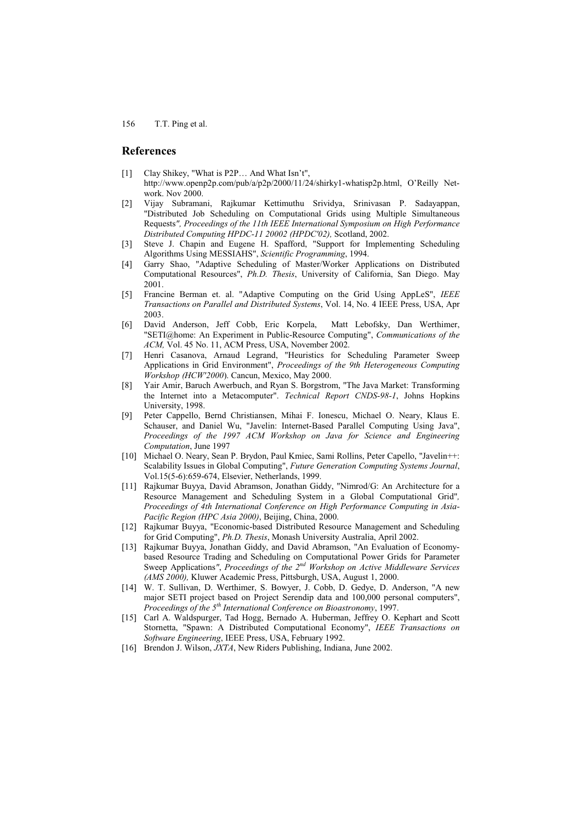## **References**

- [1] Clay Shikey, "What is P2P... And What Isn't", http://www.openp2p.com/pub/a/p2p/2000/11/24/shirky1-whatisp2p.html, O'Reilly Network. Nov 2000.
- [2] Vijay Subramani, Rajkumar Kettimuthu Srividya, Srinivasan P. Sadayappan, "Distributed Job Scheduling on Computational Grids using Multiple Simultaneous Requests*", Proceedings of the 11th IEEE International Symposium on High Performance Distributed Computing HPDC-11 20002 (HPDC'02),* Scotland, 2002.
- [3] Steve J. Chapin and Eugene H. Spafford, "Support for Implementing Scheduling Algorithms Using MESSIAHS", *Scientific Programming*, 1994.
- [4] Garry Shao, "Adaptive Scheduling of Master/Worker Applications on Distributed Computational Resources", *Ph.D. Thesis*, University of California, San Diego. May 2001.
- [5] Francine Berman et. al. "Adaptive Computing on the Grid Using AppLeS", *IEEE Transactions on Parallel and Distributed Systems*, Vol. 14, No. 4 IEEE Press, USA, Apr 2003.
- [6] David Anderson, Jeff Cobb, Eric Korpela, Matt Lebofsky, Dan Werthimer, "SETI@home: An Experiment in Public-Resource Computing", *Communications of the ACM,* Vol. 45 No. 11, ACM Press, USA, November 2002.
- [7] Henri Casanova, Arnaud Legrand, "Heuristics for Scheduling Parameter Sweep Applications in Grid Environment", *Proceedings of the 9th Heterogeneous Computing Workshop (HCW'2000*). Cancun, Mexico, May 2000.
- [8] Yair Amir, Baruch Awerbuch, and Ryan S. Borgstrom, "The Java Market: Transforming the Internet into a Metacomputer". *Technical Report CNDS-98-1*, Johns Hopkins University, 1998.
- [9] Peter Cappello, Bernd Christiansen, Mihai F. Ionescu, Michael O. Neary, Klaus E. Schauser, and Daniel Wu, "Javelin: Internet-Based Parallel Computing Using Java", *Proceedings of the 1997 ACM Workshop on Java for Science and Engineering Computation*, June 1997
- [10] Michael O. Neary, Sean P. Brydon, Paul Kmiec, Sami Rollins, Peter Capello, "Javelin++: Scalability Issues in Global Computing", *Future Generation Computing Systems Journal*, Vol.15(5-6):659-674, Elsevier, Netherlands, 1999.
- [11] Rajkumar Buyya, David Abramson, Jonathan Giddy, "Nimrod/G: An Architecture for a Resource Management and Scheduling System in a Global Computational Grid"*, Proceedings of 4th International Conference on High Performance Computing in Asia-Pacific Region (HPC Asia 2000)*, Beijing, China, 2000.
- [12] Rajkumar Buyya, "Economic-based Distributed Resource Management and Scheduling for Grid Computing", *Ph.D. Thesis*, Monash University Australia, April 2002.
- [13] Rajkumar Buyya, Jonathan Giddy, and David Abramson, "An Evaluation of Economybased Resource Trading and Scheduling on Computational Power Grids for Parameter Sweep Applications*"*, *Proceedings of the 2nd Workshop on Active Middleware Services (AMS 2000),* Kluwer Academic Press, Pittsburgh, USA, August 1, 2000.
- [14] W. T. Sullivan, D. Werthimer, S. Bowyer, J. Cobb, D. Gedye, D. Anderson, "A new major SETI project based on Project Serendip data and 100,000 personal computers", *Proceedings of the 5th International Conference on Bioastronomy*, 1997.
- [15] Carl A. Waldspurger, Tad Hogg, Bernado A. Huberman, Jeffrey O. Kephart and Scott Stornetta, "Spawn: A Distributed Computational Economy", *IEEE Transactions on Software Engineering*, IEEE Press, USA, February 1992.
- [16] Brendon J. Wilson, *JXTA*, New Riders Publishing, Indiana, June 2002.